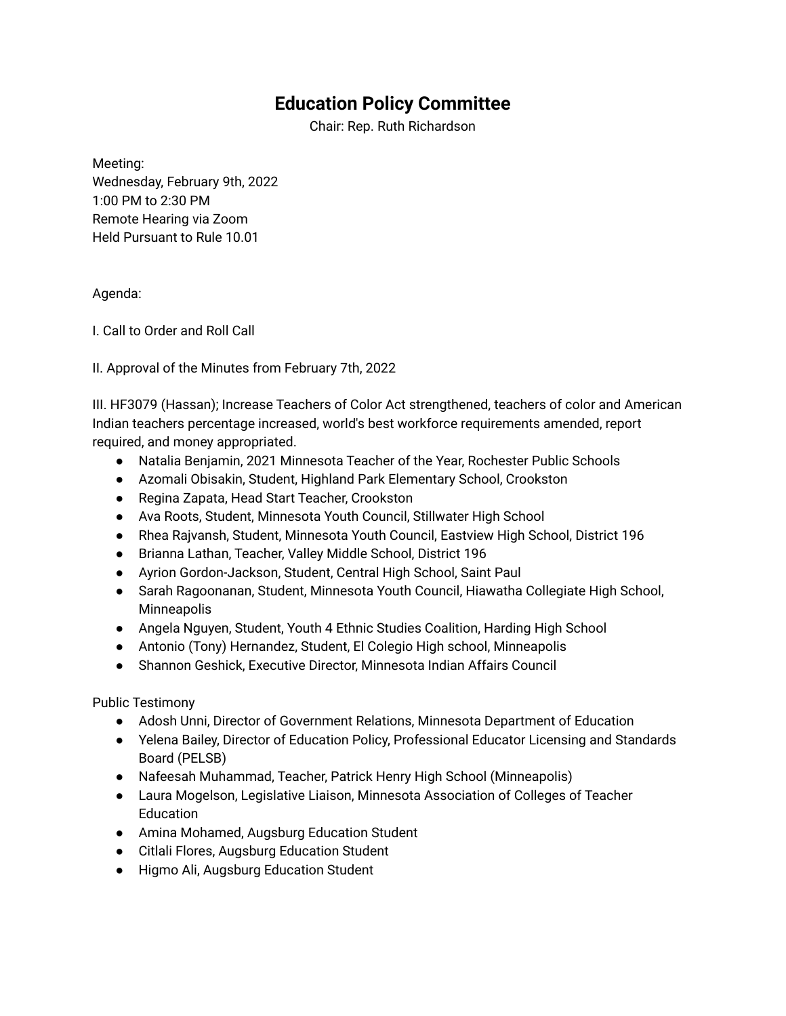## **Education Policy Committee**

Chair: Rep. Ruth Richardson

Meeting: Wednesday, February 9th, 2022 1:00 PM to 2:30 PM Remote Hearing via Zoom Held Pursuant to Rule 10.01

## Agenda:

I. Call to Order and Roll Call

II. Approval of the Minutes from February 7th, 2022

III. HF3079 (Hassan); Increase Teachers of Color Act strengthened, teachers of color and American Indian teachers percentage increased, world's best workforce requirements amended, report required, and money appropriated.

- Natalia Benjamin, 2021 Minnesota Teacher of the Year, Rochester Public Schools
- Azomali Obisakin, Student, Highland Park Elementary School, Crookston
- Regina Zapata, Head Start Teacher, Crookston
- Ava Roots, Student, Minnesota Youth Council, Stillwater High School
- Rhea Rajvansh, Student, Minnesota Youth Council, Eastview High School, District 196
- Brianna Lathan, Teacher, Valley Middle School, District 196
- Ayrion Gordon-Jackson, Student, Central High School, Saint Paul
- Sarah Ragoonanan, Student, Minnesota Youth Council, Hiawatha Collegiate High School, **Minneapolis**
- Angela Nguyen, Student, Youth 4 Ethnic Studies Coalition, Harding High School
- Antonio (Tony) Hernandez, Student, El Colegio High school, Minneapolis
- Shannon Geshick, Executive Director, Minnesota Indian Affairs Council

Public Testimony

- Adosh Unni, Director of Government Relations, Minnesota Department of Education
- Yelena Bailey, Director of Education Policy, Professional Educator Licensing and Standards Board (PELSB)
- Nafeesah Muhammad, Teacher, Patrick Henry High School (Minneapolis)
- Laura Mogelson, Legislative Liaison, Minnesota Association of Colleges of Teacher **Education**
- Amina Mohamed, Augsburg Education Student
- Citlali Flores, Augsburg Education Student
- Higmo Ali, Augsburg Education Student